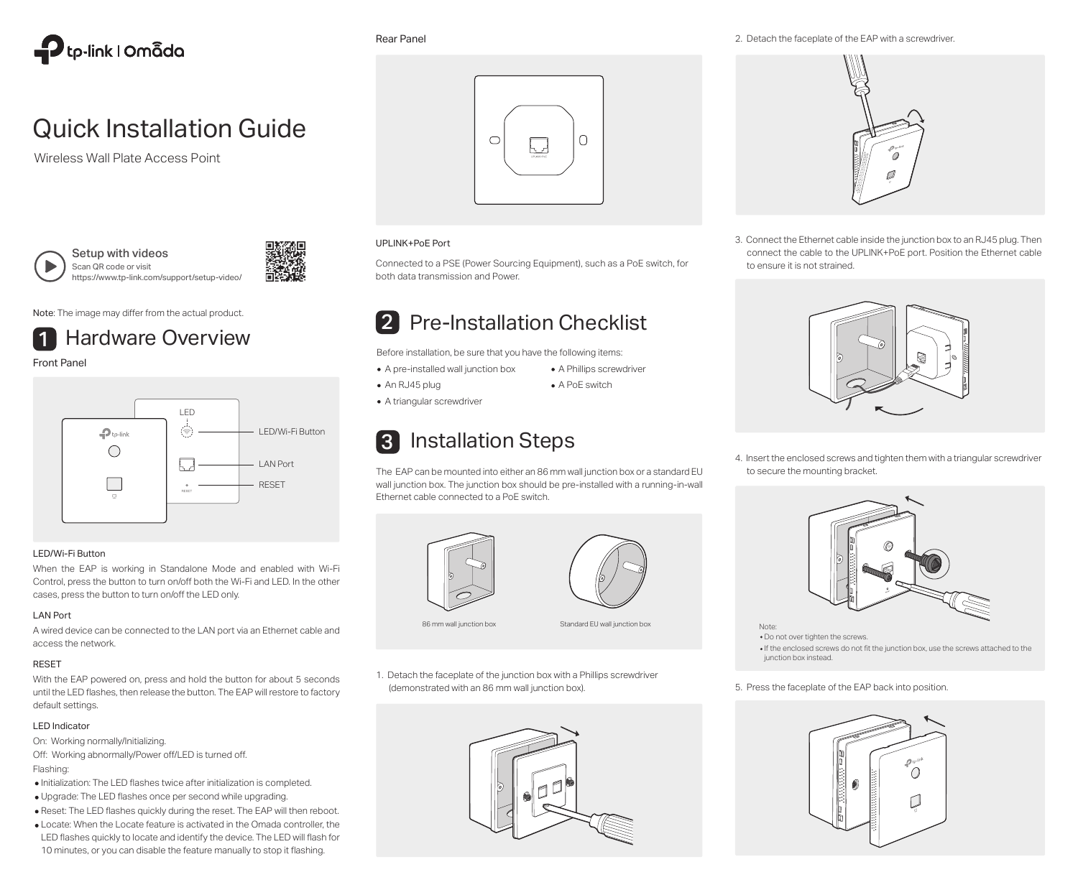

# Quick Installation Guide

Wireless Wall Plate Access Point



Setup with videos Scan QR code or visit https://www.tp-link.com/support/setup-video/



Note: The image may differ from the actual product.



Front Panel



#### LED/Wi-Fi Button

When the EAP is working in Standalone Mode and enabled with Wi-Fi Control, press the button to turn on/off both the Wi-Fi and LED. In the other cases, press the button to turn on/off the LED only.

#### LAN Port

A wired device can be connected to the LAN port via an Ethernet cable and access the network.

## RESET

With the EAP powered on, press and hold the button for about 5 seconds until the LED flashes, then release the button. The EAP will restore to factory default settings.

## LED Indicator

On: Working normally/Initializing.

- Off: Working abnormally/Power off/LED is turned off. Flashing:
- Initialization: The LED flashes twice after initialization is completed.
- Upgrade: The LED flashes once per second while upgrading.
- Reset: The LED flashes quickly during the reset. The EAP will then reboot.
- Locate: When the Locate feature is activated in the Omada controller, the LED flashes quickly to locate and identify the device. The LED will flash for 10 minutes, or you can disable the feature manually to stop it flashing.

Rear Panel



## UPLINK+PoE Port

Connected to a PSE (Power Sourcing Equipment), such as a PoE switch, for both data transmission and Power.

# 2 Pre-Installation Checklist

Before installation, be sure that you have the following items:

- A Phillips screwdriver • A PoE switch A pre-installed wall junction box
- An RJ45 plug
- A triangular screwdriver

# 3 Installation Steps

The EAP can be mounted into either an 86 mm wall junction box or a standard EU wall junction box. The junction box should be pre-installed with a running-in-wall Ethernet cable connected to a PoE switch.





86 mm wall junction box Standard EU wall junction box

1. Detach the faceplate of the junction box with a Phillips screwdriver (demonstrated with an 86 mm wall junction box).



2. Detach the faceplate of the EAP with a screwdriver.



3. Connect the Ethernet cable inside the junction box to an RJ45 plug. Then connect the cable to the UPLINK+PoE port. Position the Ethernet cable to ensure it is not strained.



4. Insert the enclosed screws and tighten them with a triangular screwdriver to secure the mounting bracket.



- Note:
- Do not over tighten the screws.
- If the enclosed screws do not fit the junction box, use the screws attached to the junction box instead.

#### 5. Press the faceplate of the EAP back into position.